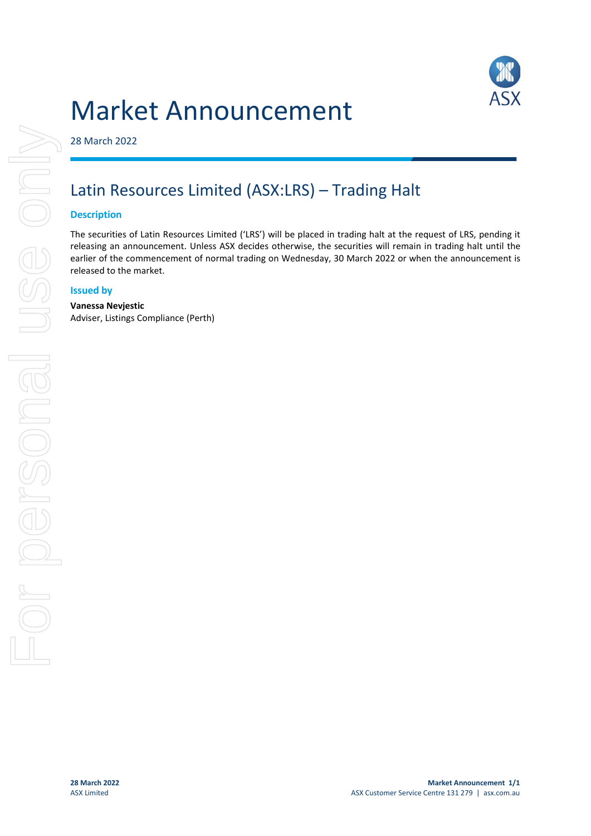# Market Announcement



28 March 2022

## Latin Resources Limited (ASX:LRS) – Trading Halt

#### **Description**

The securities of Latin Resources Limited ('LRS') will be placed in trading halt at the request of LRS, pending it releasing an announcement. Unless ASX decides otherwise, the securities will remain in trading halt until the earlier of the commencement of normal trading on Wednesday, 30 March 2022 or when the announcement is released to the market.

#### **Issued by**

#### **Vanessa Nevjestic**

Adviser, Listings Compliance (Perth)